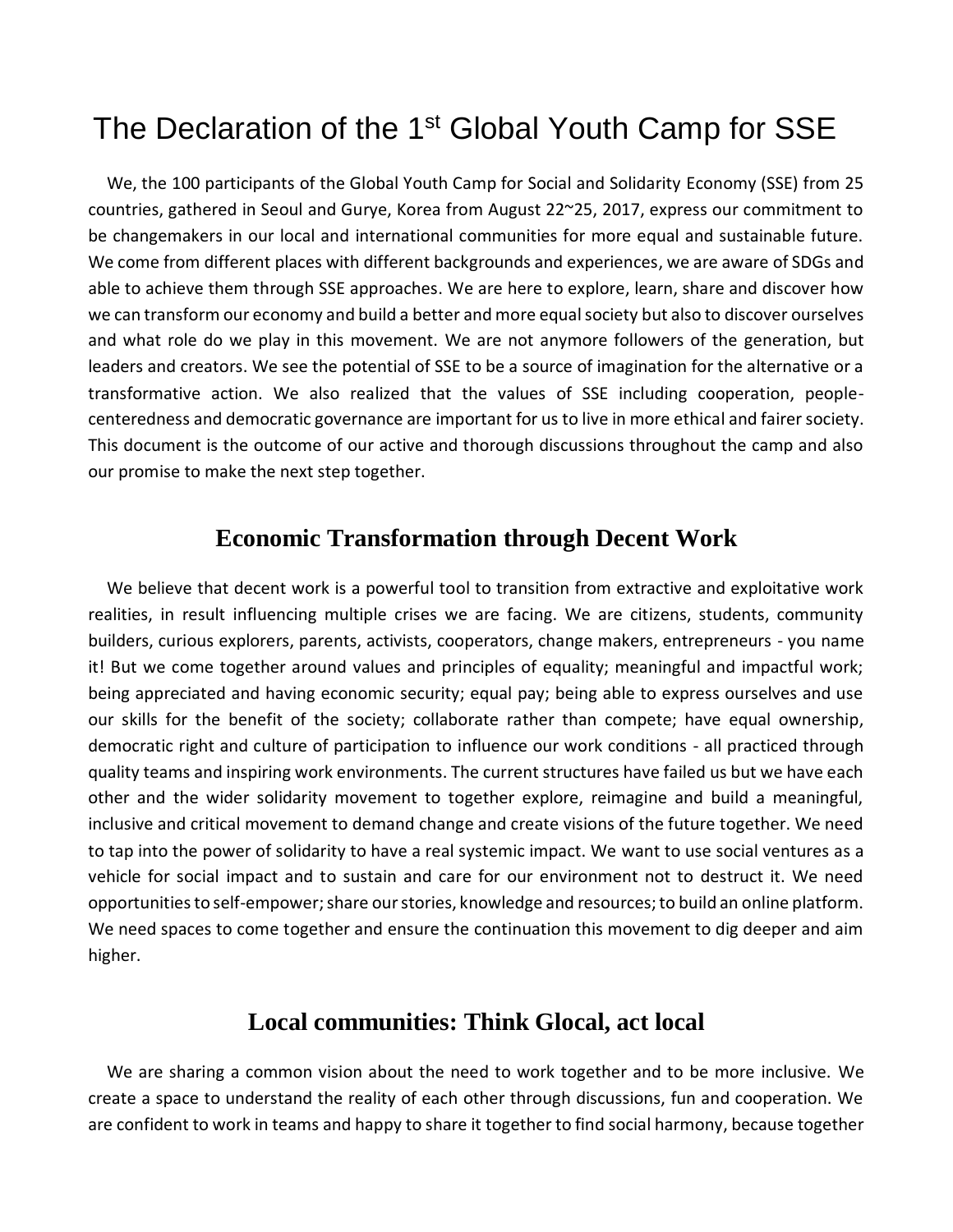# The Declaration of the 1<sup>st</sup> Global Youth Camp for SSE

We, the 100 participants of the Global Youth Camp for Social and Solidarity Economy (SSE) from 25 countries, gathered in Seoul and Gurye, Korea from August 22~25, 2017, express our commitment to be changemakers in our local and international communities for more equal and sustainable future. We come from different places with different backgrounds and experiences, we are aware of SDGs and able to achieve them through SSE approaches. We are here to explore, learn, share and discover how we can transform our economy and build a better and more equal society but also to discover ourselves and what role do we play in this movement. We are not anymore followers of the generation, but leaders and creators. We see the potential of SSE to be a source of imagination for the alternative or a transformative action. We also realized that the values of SSE including cooperation, peoplecenteredness and democratic governance are important for us to live in more ethical and fairer society. This document is the outcome of our active and thorough discussions throughout the camp and also our promise to make the next step together.

#### **Economic Transformation through Decent Work**

We believe that decent work is a powerful tool to transition from extractive and exploitative work realities, in result influencing multiple crises we are facing. We are citizens, students, community builders, curious explorers, parents, activists, cooperators, change makers, entrepreneurs - you name it! But we come together around values and principles of equality; meaningful and impactful work; being appreciated and having economic security; equal pay; being able to express ourselves and use our skills for the benefit of the society; collaborate rather than compete; have equal ownership, democratic right and culture of participation to influence our work conditions - all practiced through quality teams and inspiring work environments. The current structures have failed us but we have each other and the wider solidarity movement to together explore, reimagine and build a meaningful, inclusive and critical movement to demand change and create visions of the future together. We need to tap into the power of solidarity to have a real systemic impact. We want to use social ventures as a vehicle for social impact and to sustain and care for our environment not to destruct it. We need opportunities to self-empower; share our stories, knowledge and resources; to build an online platform. We need spaces to come together and ensure the continuation this movement to dig deeper and aim higher.

# **Local communities: Think Glocal, act local**

We are sharing a common vision about the need to work together and to be more inclusive. We create a space to understand the reality of each other through discussions, fun and cooperation. We are confident to work in teams and happy to share it together to find social harmony, because together